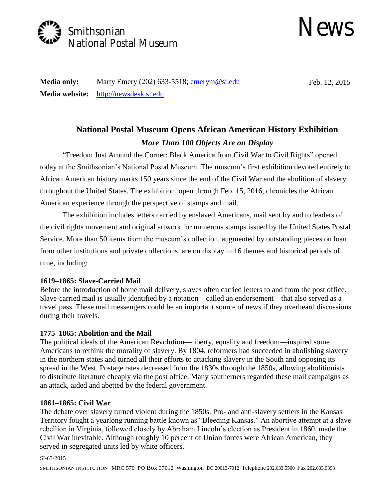



**Media only:** Marty Emery (202) 633-5518; **emerym@si.edu** Feb. 12, 2015 **Media website:** [http://newsdesk.si.edu](http://newsdesk.si.edu/) 

# *More Than 100 Objects Are on Display*  **National Postal Museum Opens African American History Exhibition**

 throughout the United States. The exhibition, open through Feb. 15, 2016, chronicles the African "Freedom Just Around the Corner: Black America from Civil War to Civil Rights" opened today at the Smithsonian's National Postal Museum. The museum's first exhibition devoted entirely to African American history marks 150 years since the end of the Civil War and the abolition of slavery American experience through the perspective of stamps and mail.

 from other institutions and private collections, are on display in 16 themes and historical periods of The exhibition includes letters carried by enslaved Americans, mail sent by and to leaders of the civil rights movement and original artwork for numerous stamps issued by the United States Postal Service. More than 50 items from the museum's collection, augmented by outstanding pieces on loan time, including:

# **1619–1865: Slave-Carried Mail**

 Slave-carried mail is usually identified by a notation—called an endorsement—that also served as a Before the introduction of home mail delivery, slaves often carried letters to and from the post office. travel pass. These mail messengers could be an important source of news if they overheard discussions during their travels.

# **1775–1865: Abolition and the Mail**

The political ideals of the American Revolution—liberty, equality and freedom—inspired some Americans to rethink the morality of slavery. By 1804, reformers had succeeded in abolishing slavery in the northern states and turned all their efforts to attacking slavery in the South and opposing its spread in the West. Postage rates decreased from the 1830s through the 1850s, allowing abolitionists to distribute literature cheaply via the post office. Many southerners regarded these mail campaigns as an attack, aided and abetted by the federal government.

# **1861–1865: Civil War**

 The debate over slavery turned violent during the 1850s. Pro- and anti-slavery settlers in the Kansas Civil War inevitable. Although roughly 10 percent of Union forces were African American, they Territory fought a yearlong running battle known as "Bleeding Kansas." An abortive attempt at a slave rebellion in Virginia, followed closely by Abraham Lincoln's election as President in 1860, made the served in segregated units led by white officers.

#### SI-63-2015

SMITHSONIAN INSTITUTION MRC 570 PO Box 37012 Washington DC 20013-7012 Telephone 202.633.5500 Fax 202.633.9393